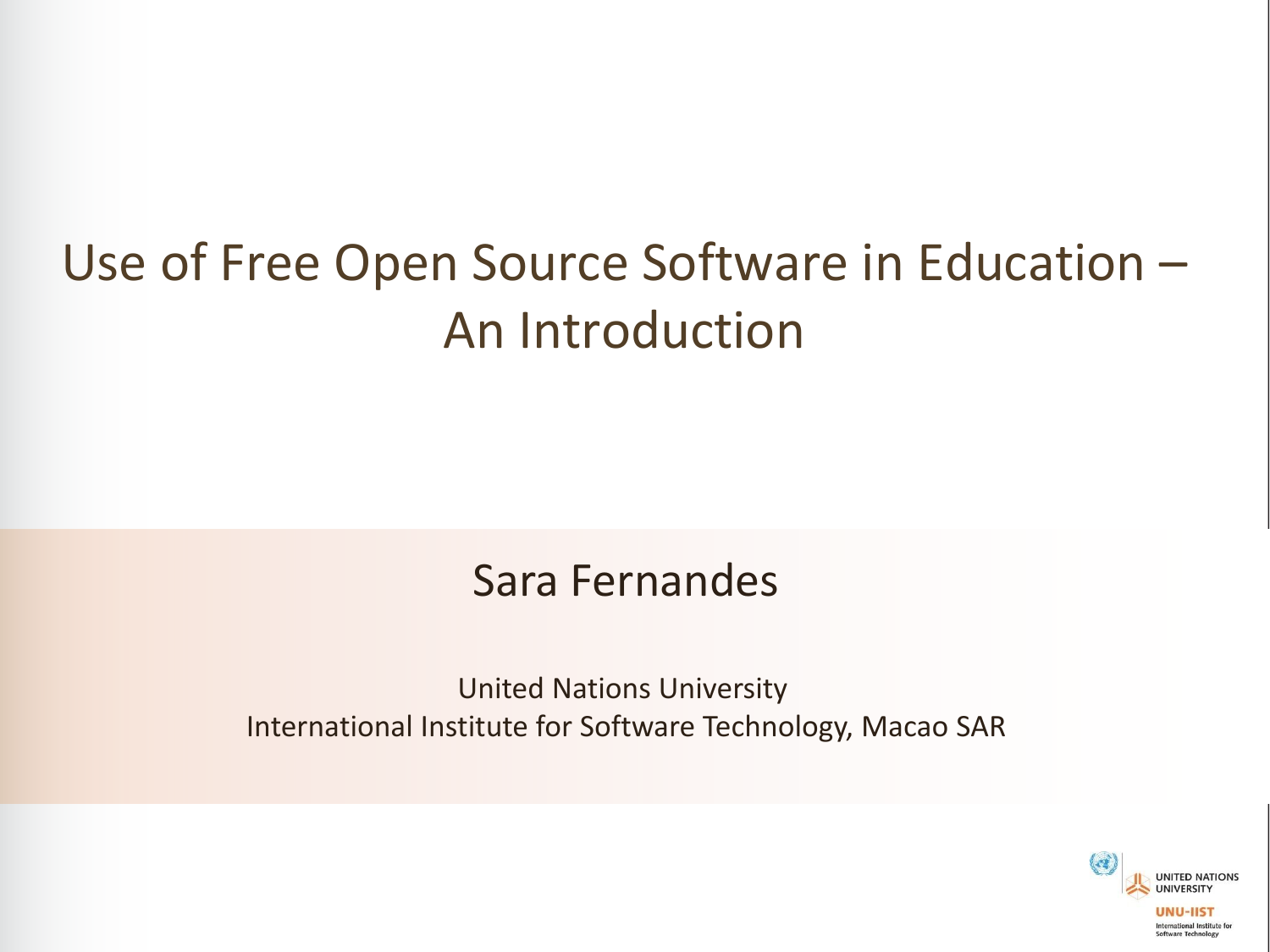# Use of Free Open Source Software in Education – An Introduction

#### Sara Fernandes

United Nations University International Institute for Software Technology, Macao SAR

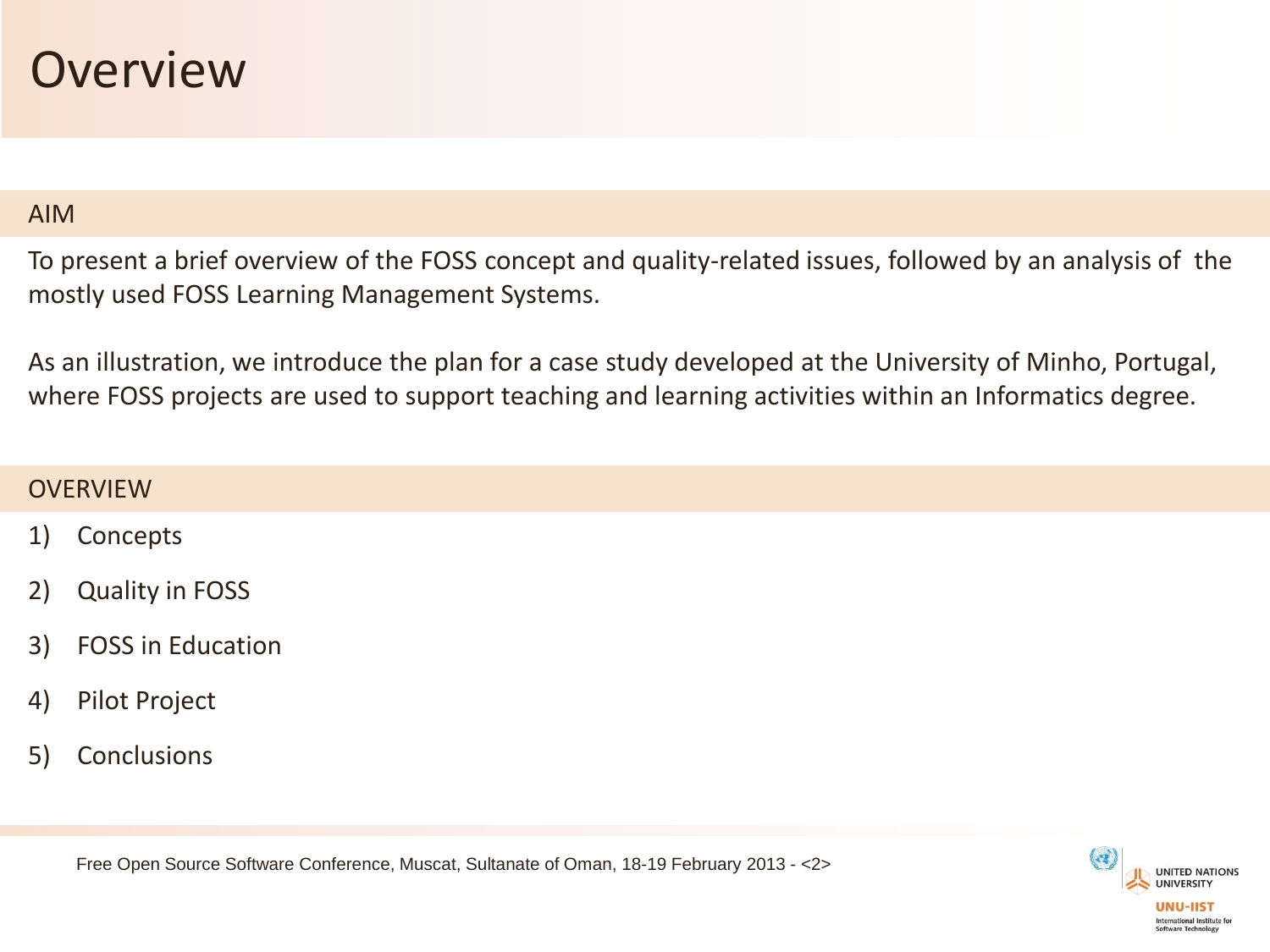#### **Overview**

#### AIM

To present a brief overview of the FOSS concept and quality-related issues, followed by an analysis of the mostly used FOSS Learning Management Systems.

As an illustration, we introduce the plan for a case study developed at the University of Minho, Portugal, where FOSS projects are used to support teaching and learning activities within an Informatics degree.

#### **OVERVIEW**

- 1) Concepts
- 2) Quality in FOSS
- 3) FOSS in Education
- 4) Pilot Project
- 5) Conclusions

Free Open Source Software Conference, Muscat, Sultanate of Oman, 18-19 February 2013 - <2>

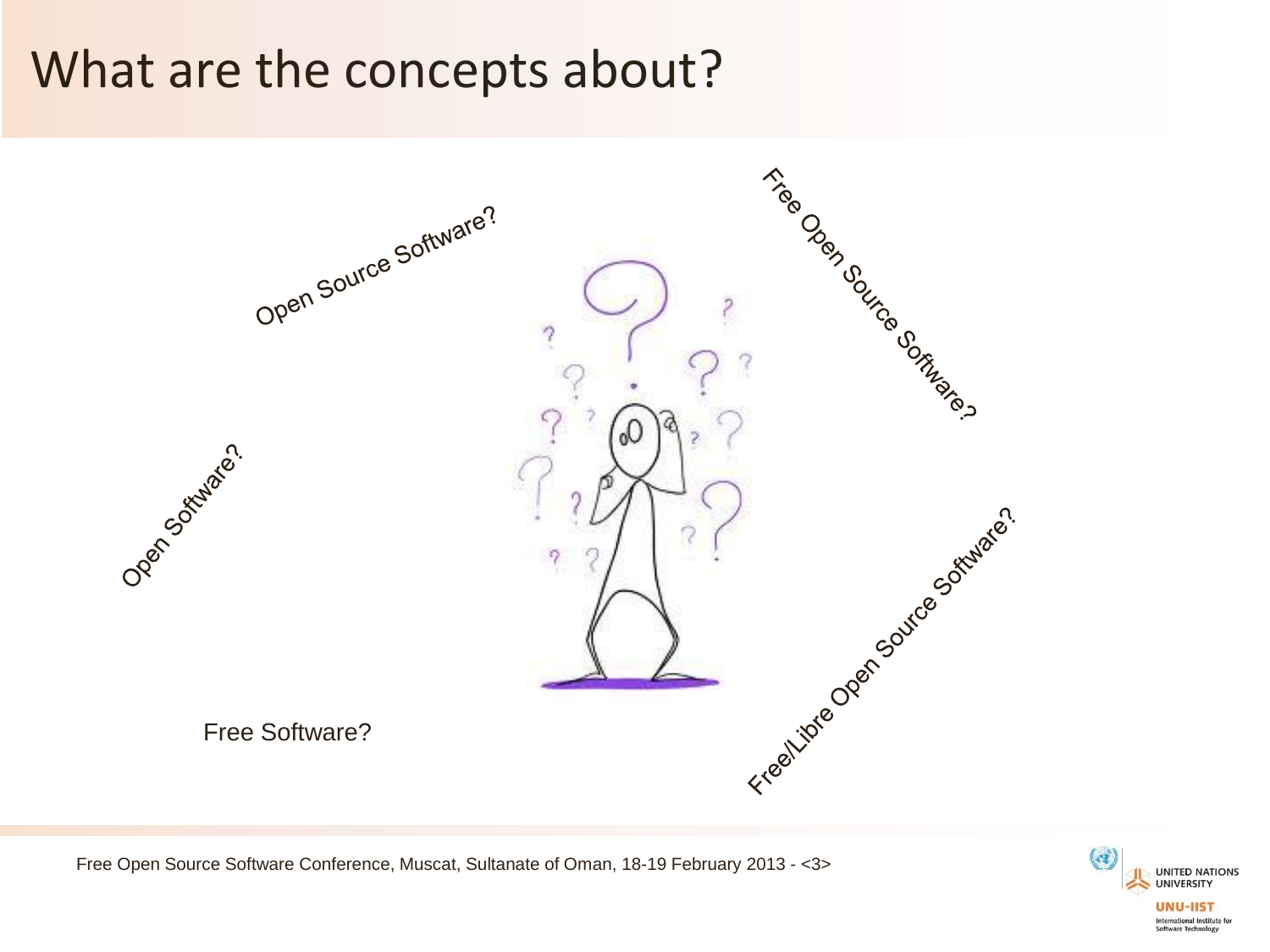## What are the concepts about?



Free Open Source Software Conference, Muscat, Sultanate of Oman, 18-19 February 2013 - <3>

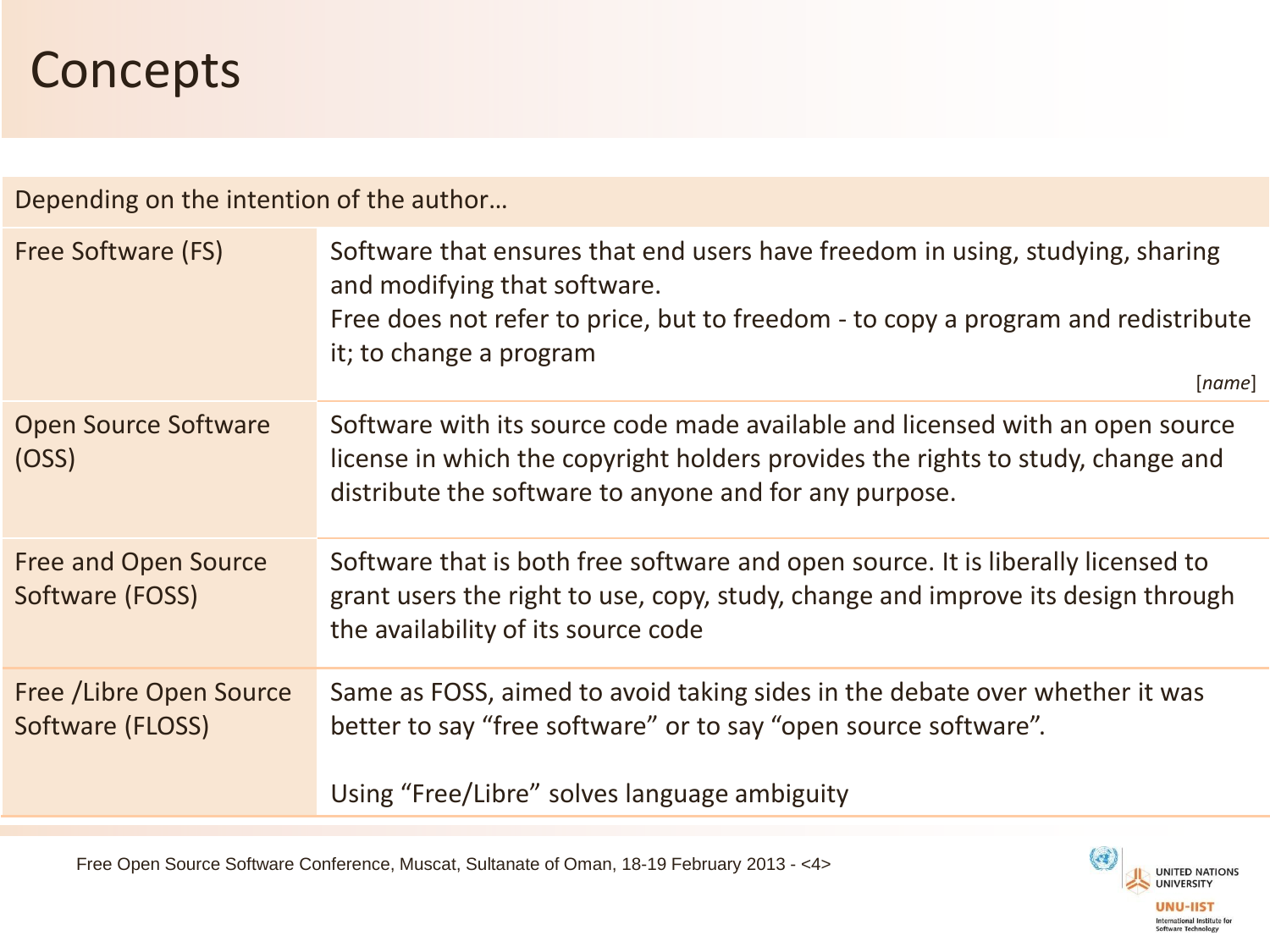## **Concepts**

Depending on the intention of the author…

| Free Software (FS)                           | Software that ensures that end users have freedom in using, studying, sharing<br>and modifying that software.<br>Free does not refer to price, but to freedom - to copy a program and redistribute<br>it; to change a program<br>[name] |
|----------------------------------------------|-----------------------------------------------------------------------------------------------------------------------------------------------------------------------------------------------------------------------------------------|
| <b>Open Source Software</b><br>(OSS)         | Software with its source code made available and licensed with an open source<br>license in which the copyright holders provides the rights to study, change and<br>distribute the software to anyone and for any purpose.              |
| Free and Open Source<br>Software (FOSS)      | Software that is both free software and open source. It is liberally licensed to<br>grant users the right to use, copy, study, change and improve its design through<br>the availability of its source code                             |
| Free / Libre Open Source<br>Software (FLOSS) | Same as FOSS, aimed to avoid taking sides in the debate over whether it was<br>better to say "free software" or to say "open source software".<br>Using "Free/Libre" solves language ambiguity                                          |

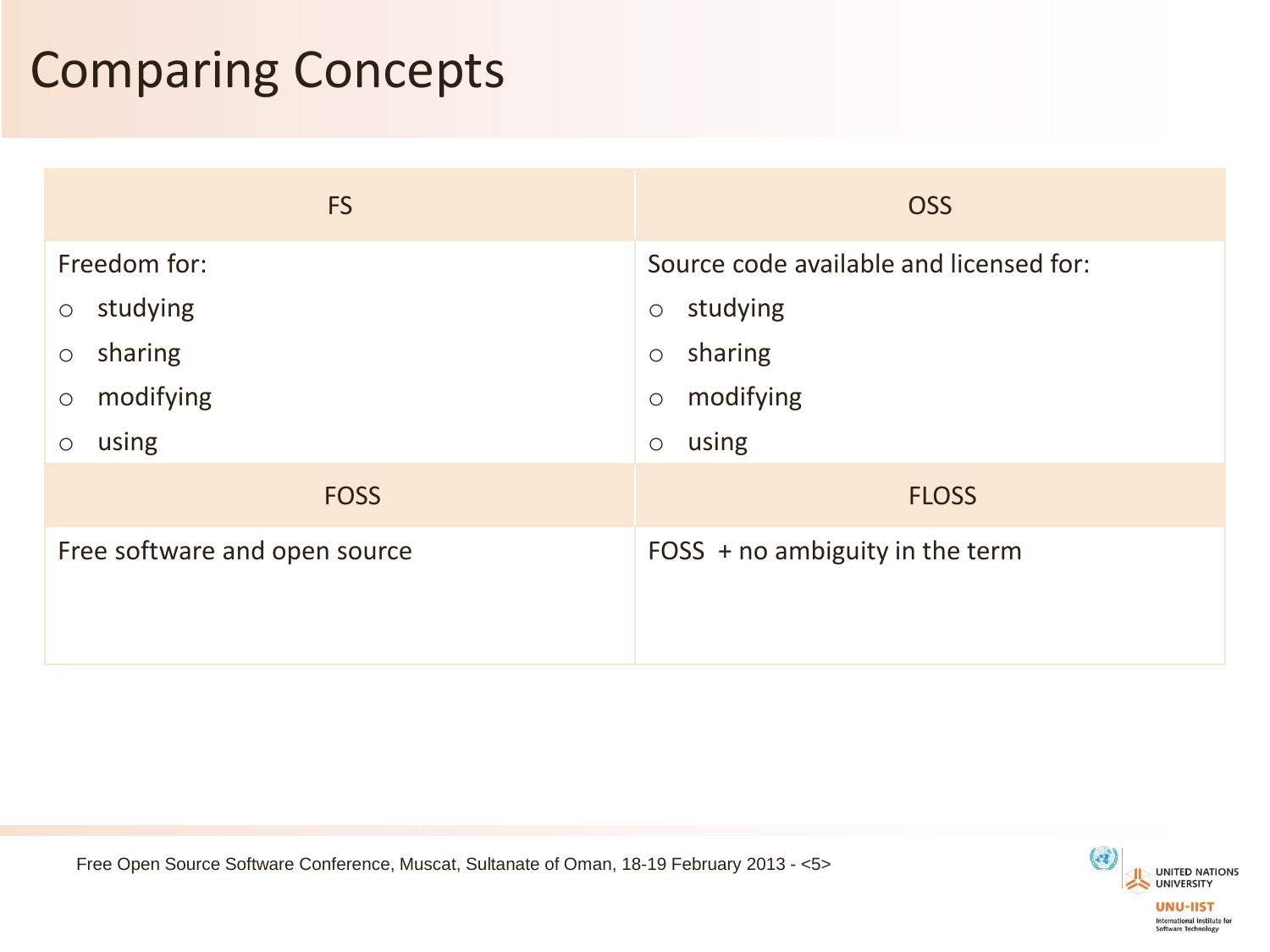## Comparing Concepts

| <b>FS</b>                     | <b>OSS</b>                              |
|-------------------------------|-----------------------------------------|
| Freedom for:                  | Source code available and licensed for: |
| studying                      | studying                                |
| $\bigcirc$                    | $\bigcirc$                              |
| sharing                       | sharing                                 |
| $\bigcirc$                    | $\bigcirc$                              |
| modifying                     | modifying                               |
| $\bigcirc$                    | $\bigcirc$                              |
| using                         | using                                   |
| $\bigcirc$                    | $\bigcirc$                              |
| <b>FOSS</b>                   | <b>FLOSS</b>                            |
| Free software and open source | FOSS $+$ no ambiguity in the term       |

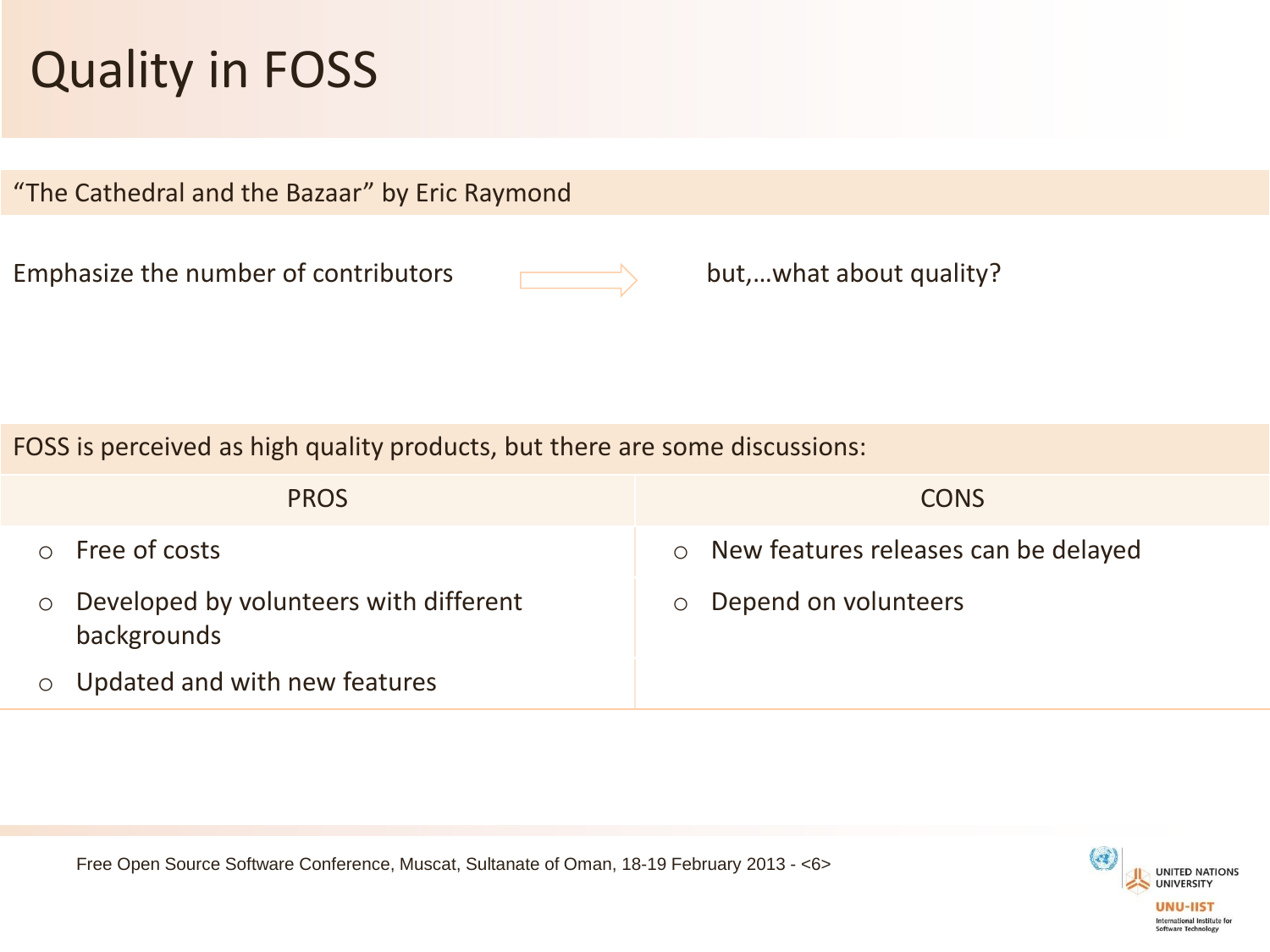# Quality in FOSS

"The Cathedral and the Bazaar" by Eric Raymond

Emphasize the number of contributors



but,…what about quality?

FOSS is perceived as high quality products, but there are some discussions:

| <b>PROS</b>                                                      | <b>CONS</b>                            |
|------------------------------------------------------------------|----------------------------------------|
| Free of costs<br>$\cap$                                          | o New features releases can be delayed |
| Developed by volunteers with different<br>$\circ$<br>backgrounds | o Depend on volunteers                 |
| Updated and with new features                                    |                                        |

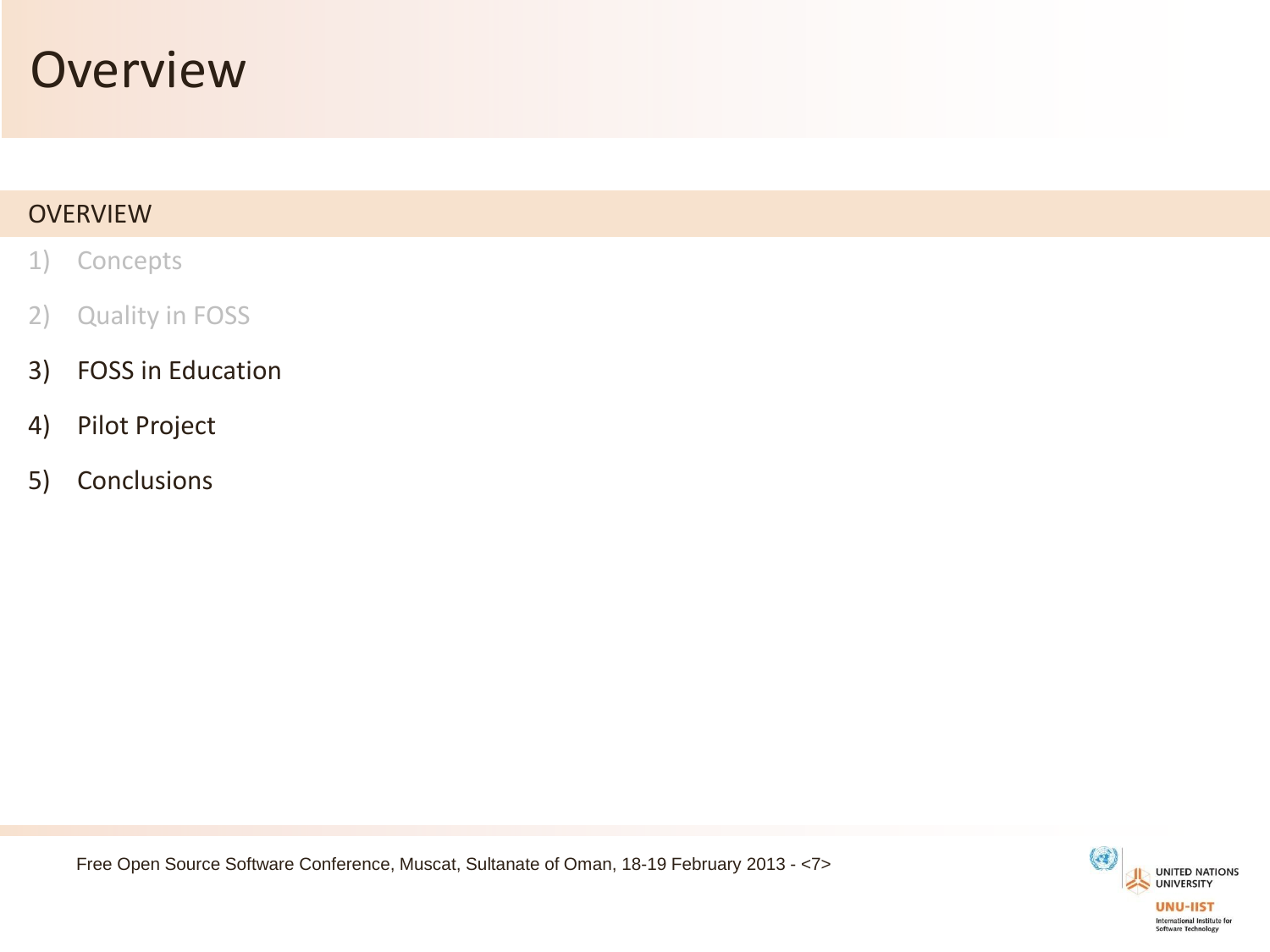#### **Overview**

#### **OVERVIEW**

- 1) Concepts
- 2) Quality in FOSS
- 3) FOSS in Education
- 4) Pilot Project
- 5) Conclusions



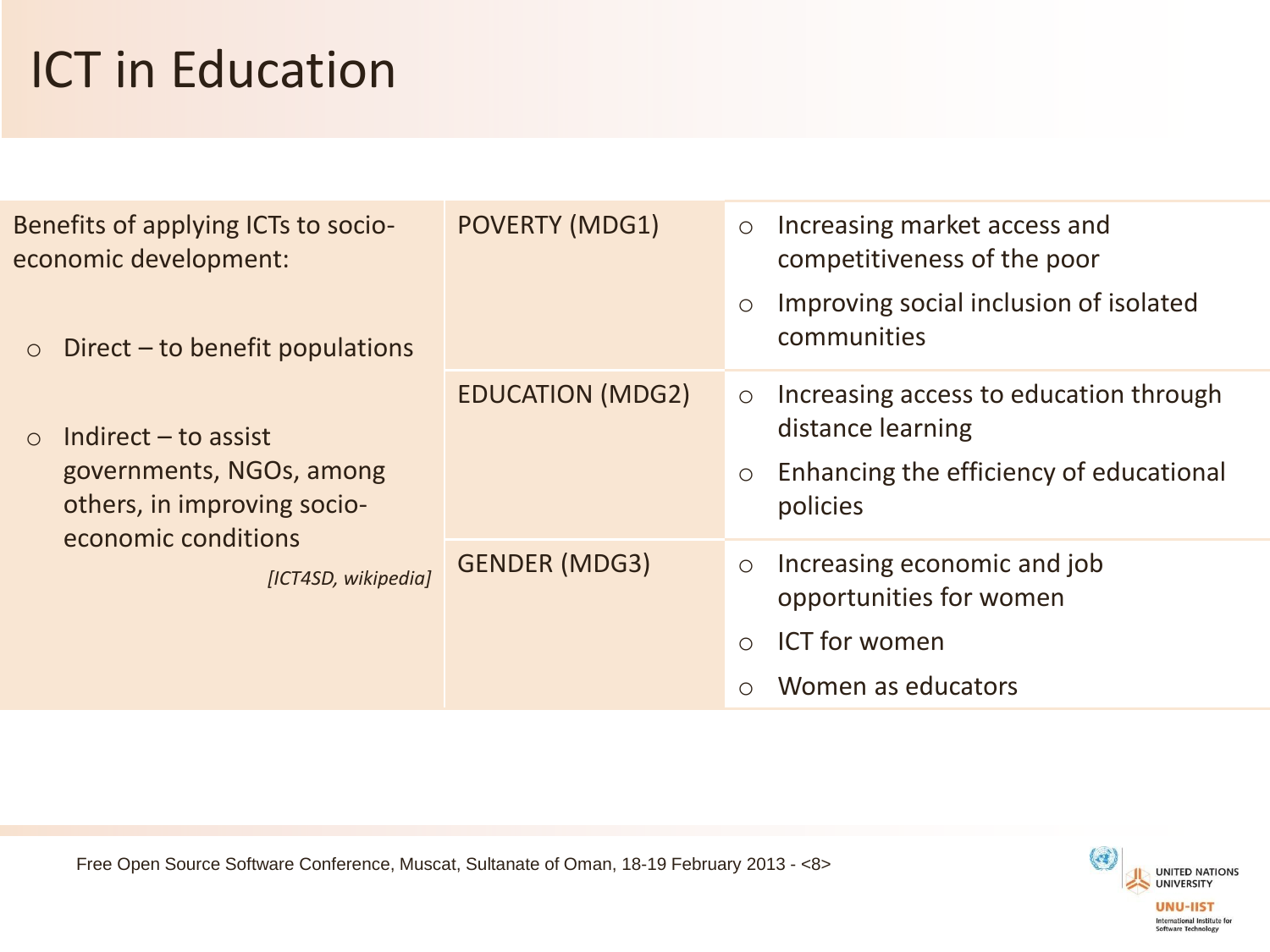# ICT in Education

| Benefits of applying ICTs to socio-<br>economic development:<br>Direct - to benefit populations<br>$\circ$             | <b>POVERTY (MDG1)</b>   | $\circ$<br>$\circ$               | Increasing market access and<br>competitiveness of the poor<br>Improving social inclusion of isolated<br>communities |
|------------------------------------------------------------------------------------------------------------------------|-------------------------|----------------------------------|----------------------------------------------------------------------------------------------------------------------|
| Indirect $-$ to assist<br>$\bigcirc$<br>governments, NGOs, among<br>others, in improving socio-<br>economic conditions | <b>EDUCATION (MDG2)</b> | $\circ$<br>$\circ$               | Increasing access to education through<br>distance learning<br>Enhancing the efficiency of educational<br>policies   |
| [ICT4SD, wikipedia]                                                                                                    | <b>GENDER (MDG3)</b>    | $\circlearrowright$<br>$\bigcap$ | Increasing economic and job<br>opportunities for women<br><b>ICT</b> for women<br>Women as educators                 |

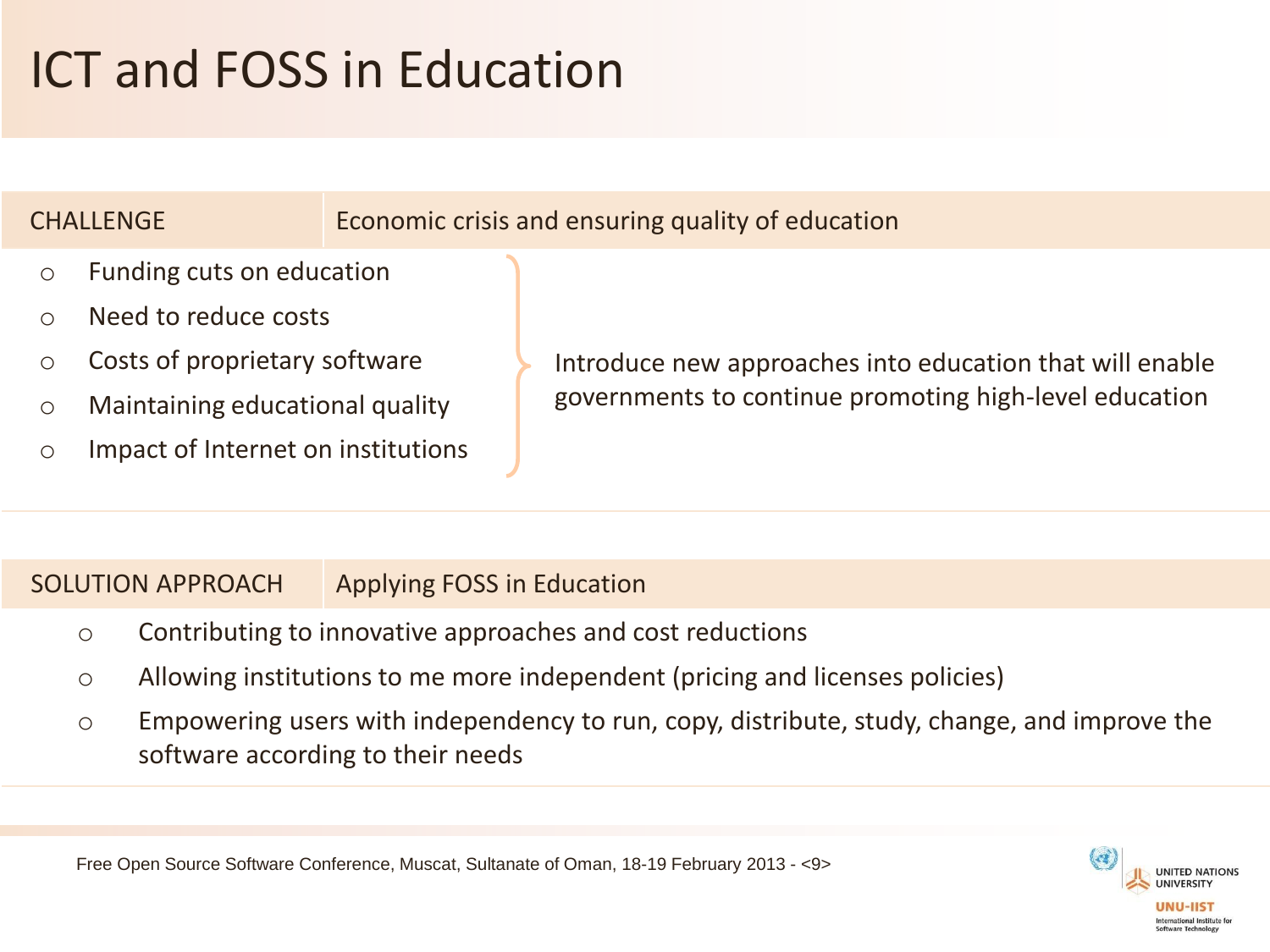# ICT and FOSS in Education



#### SOLUTION APPROACH Applying FOSS in Education

- o Contributing to innovative approaches and cost reductions
- o Allowing institutions to me more independent (pricing and licenses policies)
- o Empowering users with independency to run, copy, distribute, study, change, and improve the software according to their needs

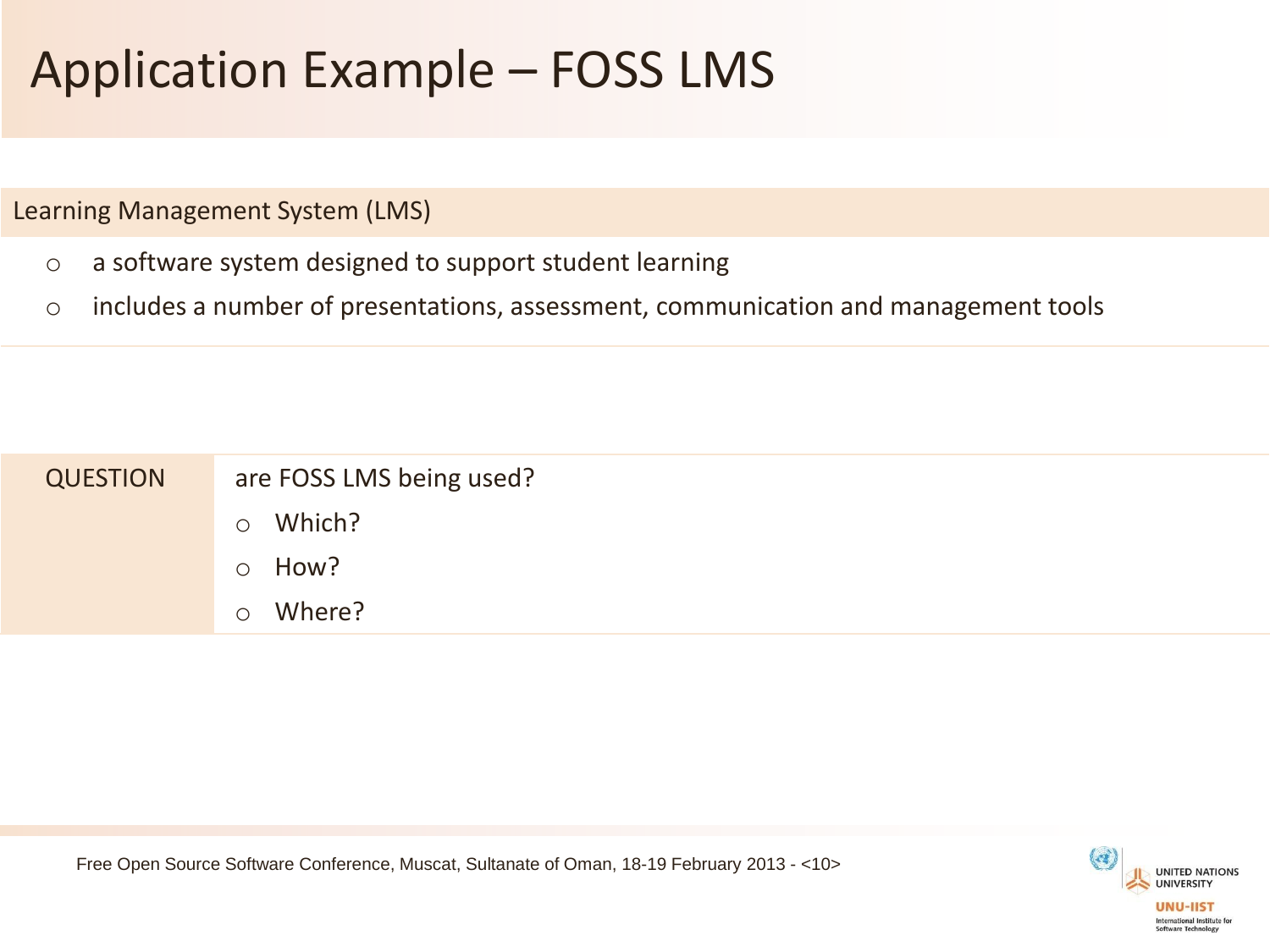# Application Example – FOSS LMS

Learning Management System (LMS)

- o a software system designed to support student learning
- o includes a number of presentations, assessment, communication and management tools

| <b>QUESTION</b> | are FOSS LMS being used? |
|-----------------|--------------------------|
|                 | Which?<br>$\circ$        |
|                 | How?<br>$\circ$          |
|                 | Where?<br>$\circ$        |

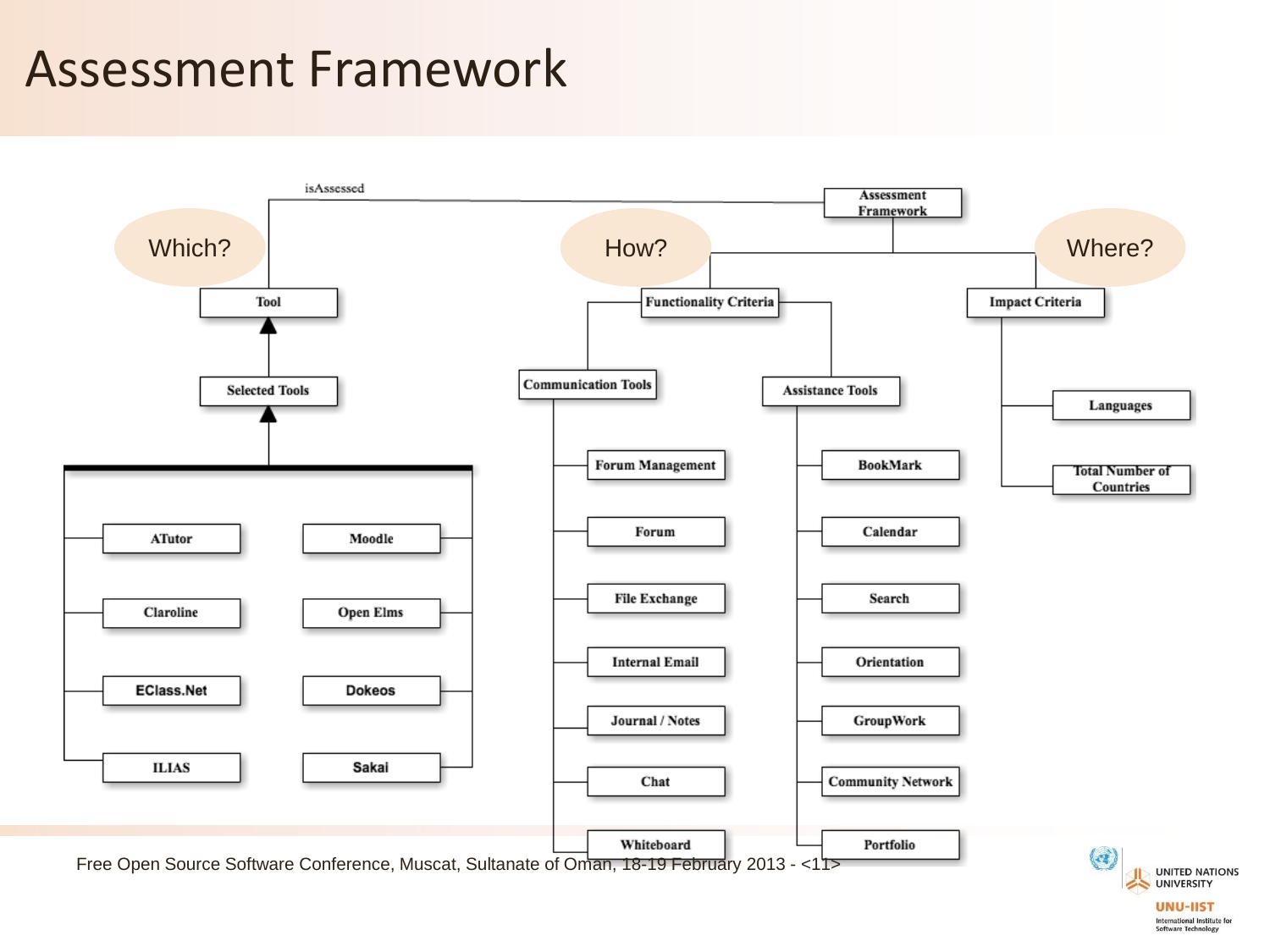#### Assessment Framework



**UNU-IIST** International Institute for Software Technology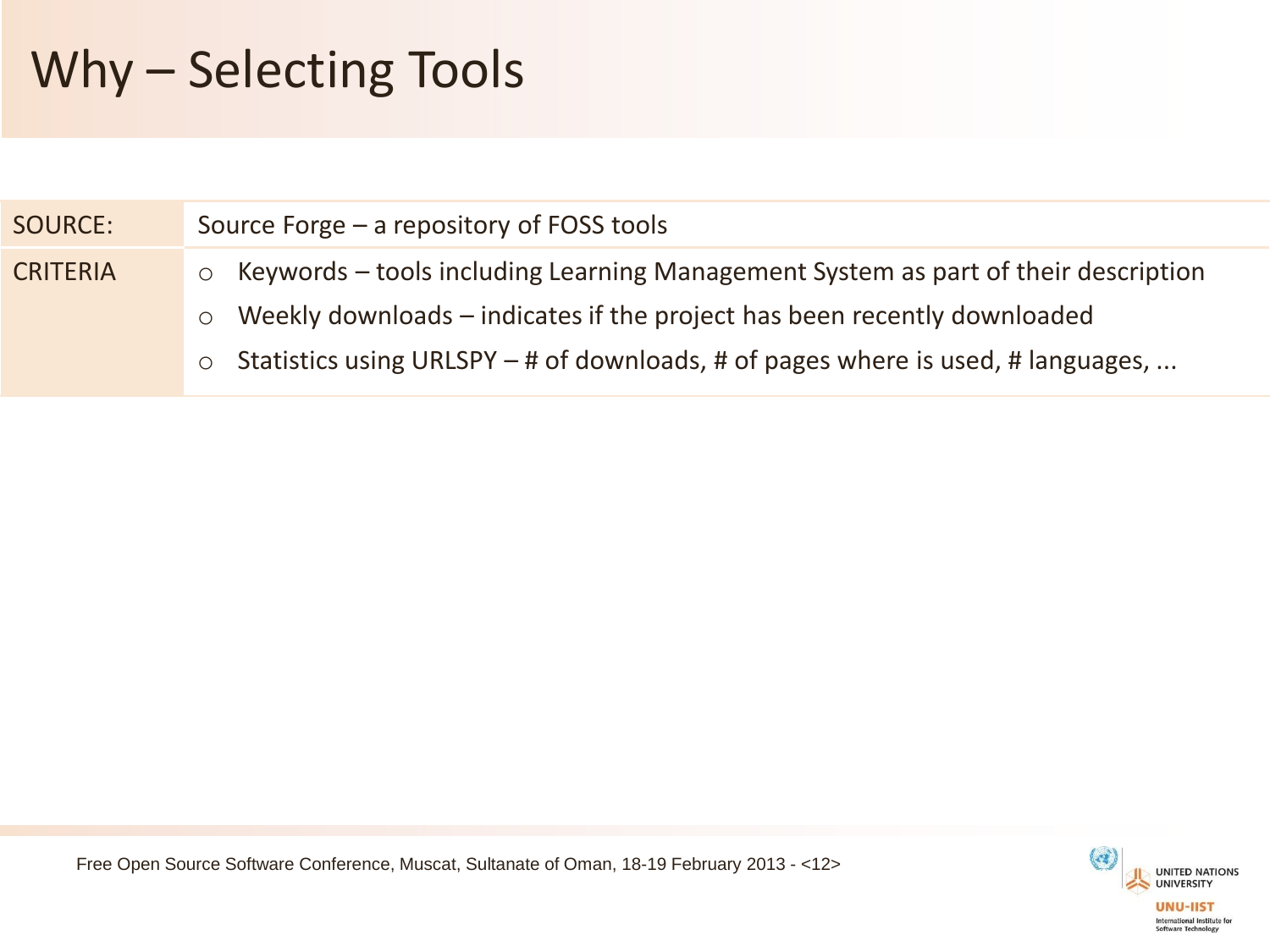# Why – Selecting Tools

| <b>SOURCE:</b>  | Source Forge $-$ a repository of FOSS tools                                                   |  |  |  |  |
|-----------------|-----------------------------------------------------------------------------------------------|--|--|--|--|
| <b>CRITERIA</b> | Keywords – tools including Learning Management System as part of their description<br>$\circ$ |  |  |  |  |
|                 | Weekly downloads – indicates if the project has been recently downloaded<br>$\circ$           |  |  |  |  |
|                 | Statistics using URLSPY – # of downloads, # of pages where is used, # languages,<br>$\circ$   |  |  |  |  |
|                 |                                                                                               |  |  |  |  |

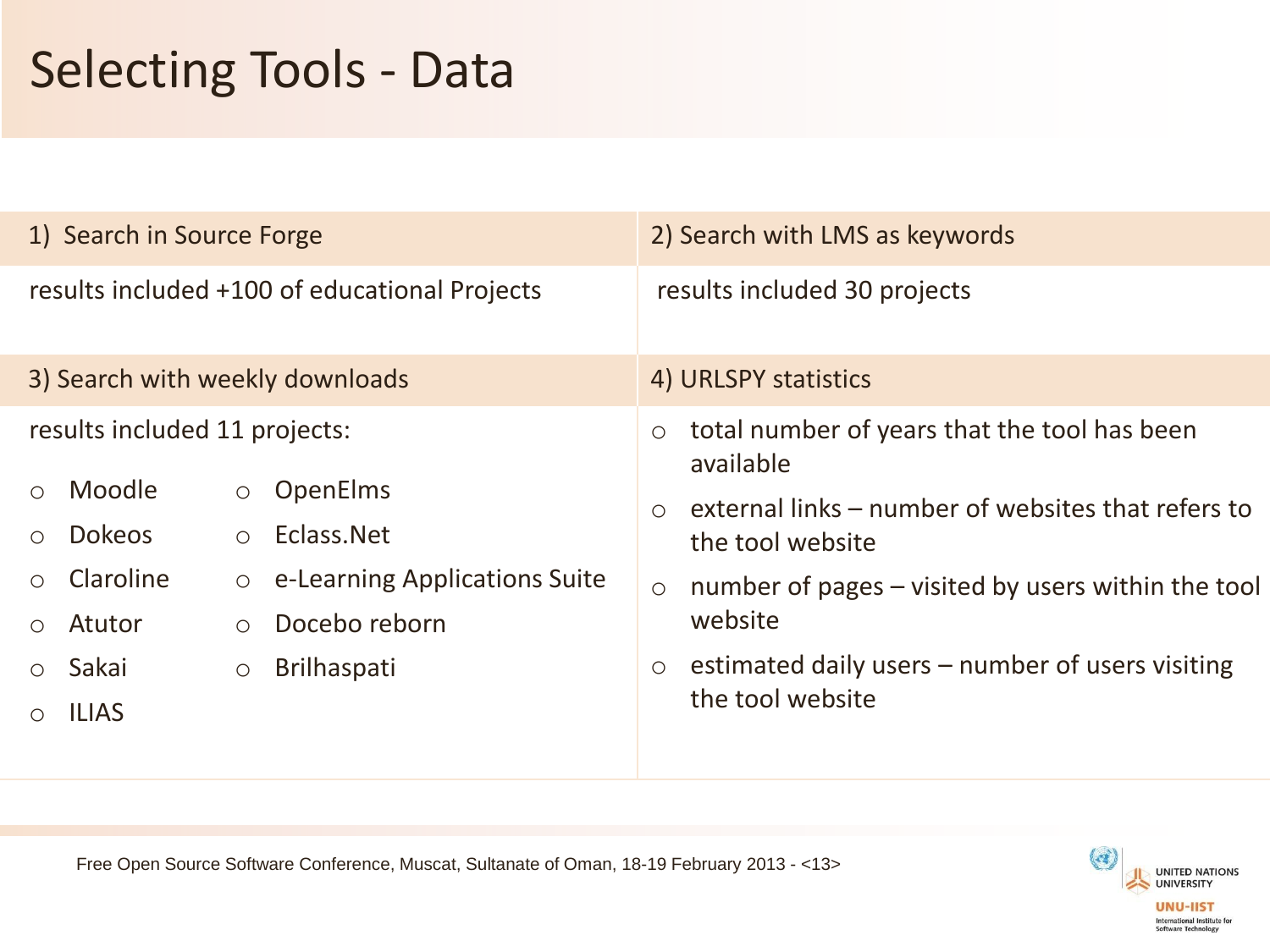# Selecting Tools - Data

| 1) Search in Source Forge                                                                                                                                                                           | 2) Search with LMS as keywords                                                                                                                                                                                                |  |  |
|-----------------------------------------------------------------------------------------------------------------------------------------------------------------------------------------------------|-------------------------------------------------------------------------------------------------------------------------------------------------------------------------------------------------------------------------------|--|--|
| results included +100 of educational Projects                                                                                                                                                       | results included 30 projects                                                                                                                                                                                                  |  |  |
| 3) Search with weekly downloads                                                                                                                                                                     | 4) URLSPY statistics                                                                                                                                                                                                          |  |  |
| results included 11 projects:<br>Moodle<br><b>OpenElms</b><br>$\circ$<br>Eclass.Net<br><b>Dokeos</b><br>$\circ$<br>$\bigcap$<br>Claroline<br>e-Learning Applications Suite<br>$\bigcirc$<br>$\circ$ | total number of years that the tool has been<br>$\circ$<br>available<br>external links – number of websites that refers to<br>$\bigcirc$<br>the tool website<br>number of pages – visited by users within the tool<br>$\circ$ |  |  |
| Docebo reborn<br>Atutor<br>$\circ$<br>$\bigcirc$<br>Sakai<br><b>Brilhaspati</b><br>$\bigcirc$<br>$\bigcirc$<br><b>ILIAS</b>                                                                         | website<br>estimated daily users - number of users visiting<br>$\circ$<br>the tool website                                                                                                                                    |  |  |

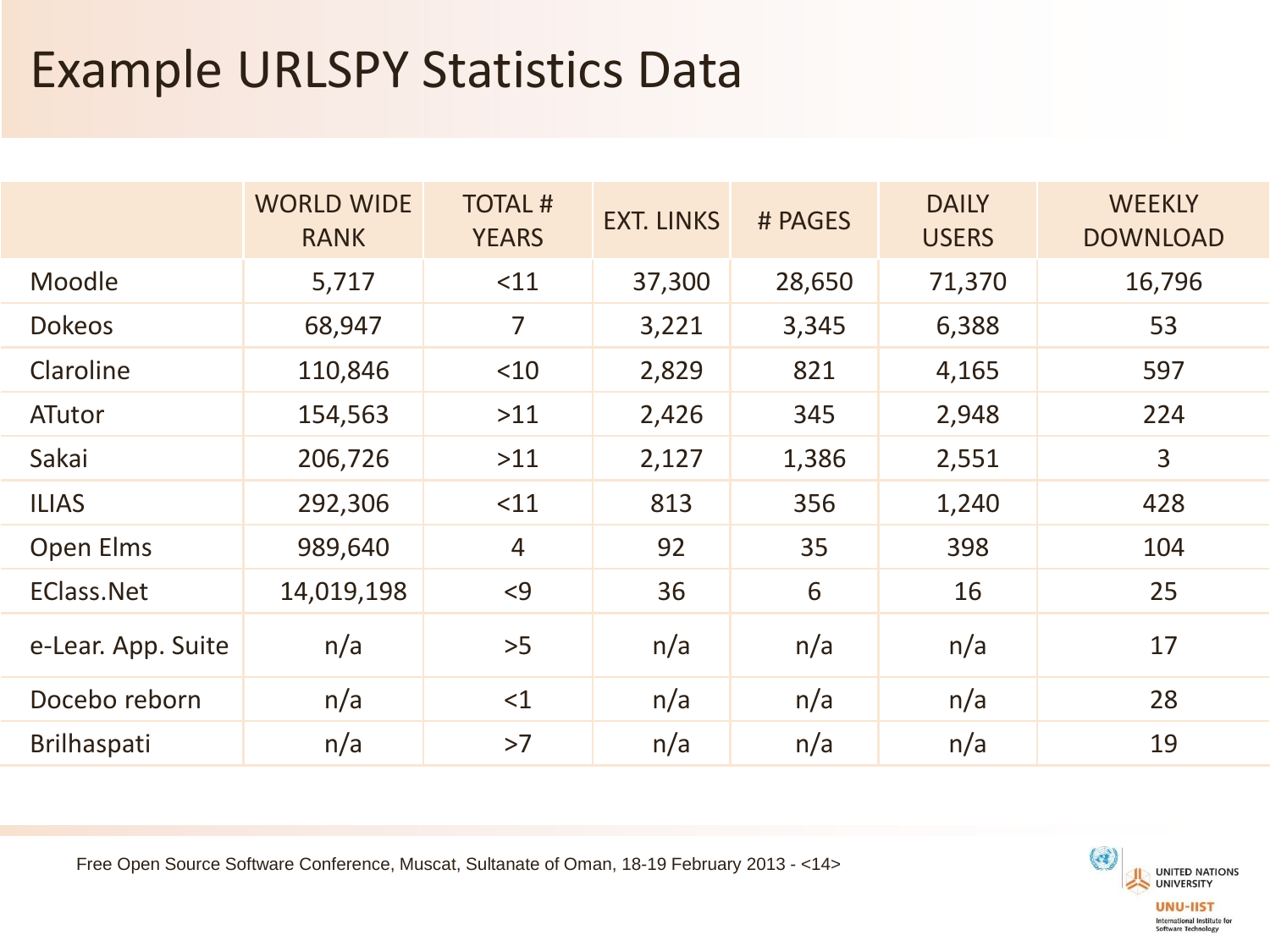## Example URLSPY Statistics Data

|                    | <b>WORLD WIDE</b><br><b>RANK</b> | <b>TOTAL#</b><br><b>YEARS</b> | <b>EXT. LINKS</b> | # PAGES | <b>DAILY</b><br><b>USERS</b> | <b>WEEKLY</b><br><b>DOWNLOAD</b> |
|--------------------|----------------------------------|-------------------------------|-------------------|---------|------------------------------|----------------------------------|
| Moodle             | 5,717                            | <11                           | 37,300            | 28,650  | 71,370                       | 16,796                           |
| <b>Dokeos</b>      | 68,947                           | $\overline{7}$                | 3,221             | 3,345   | 6,388                        | 53                               |
| Claroline          | 110,846                          | $<$ 10                        | 2,829             | 821     | 4,165                        | 597                              |
| <b>ATutor</b>      | 154,563                          | $>11$                         | 2,426             | 345     | 2,948                        | 224                              |
| Sakai              | 206,726                          | $>11$                         | 2,127             | 1,386   | 2,551                        | 3                                |
| <b>ILIAS</b>       | 292,306                          | $<$ 11                        | 813               | 356     | 1,240                        | 428                              |
| Open Elms          | 989,640                          | $\overline{4}$                | 92                | 35      | 398                          | 104                              |
| <b>EClass.Net</b>  | 14,019,198                       | < 9                           | 36                | 6       | 16                           | 25                               |
| e-Lear. App. Suite | n/a                              | >5                            | n/a               | n/a     | n/a                          | 17                               |
| Docebo reborn      | n/a                              | <1                            | n/a               | n/a     | n/a                          | 28                               |
| <b>Brilhaspati</b> | n/a                              | >7                            | n/a               | n/a     | n/a                          | 19                               |

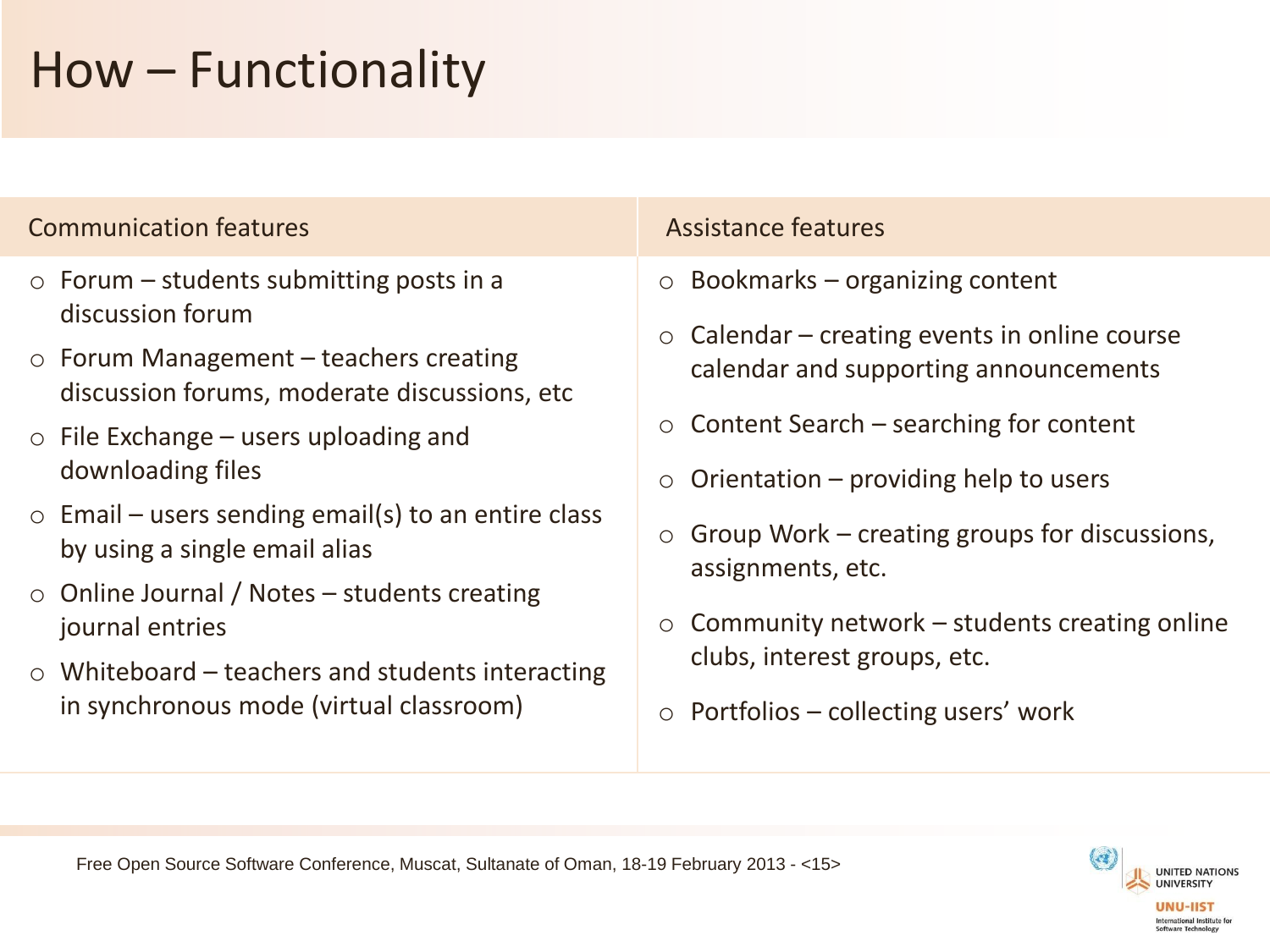# How – Functionality

#### Communication features and assistance features

- $\circ$  Forum students submitting posts in a discussion forum
- o Forum Management teachers creating discussion forums, moderate discussions, etc
- $\circ$  File Exchange users uploading and downloading files
- $\circ$  Email users sending email(s) to an entire class by using a single email alias
- o Online Journal / Notes students creating journal entries
- $\circ$  Whiteboard teachers and students interacting in synchronous mode (virtual classroom)

- $\circ$  Bookmarks organizing content
- $\circ$  Calendar creating events in online course calendar and supporting announcements
- $\circ$  Content Search searching for content
- Orientation  $-$  providing help to users
- $\circ$  Group Work creating groups for discussions, assignments, etc.
- $\circ$  Community network students creating online clubs, interest groups, etc.
- $\circ$  Portfolios collecting users' work

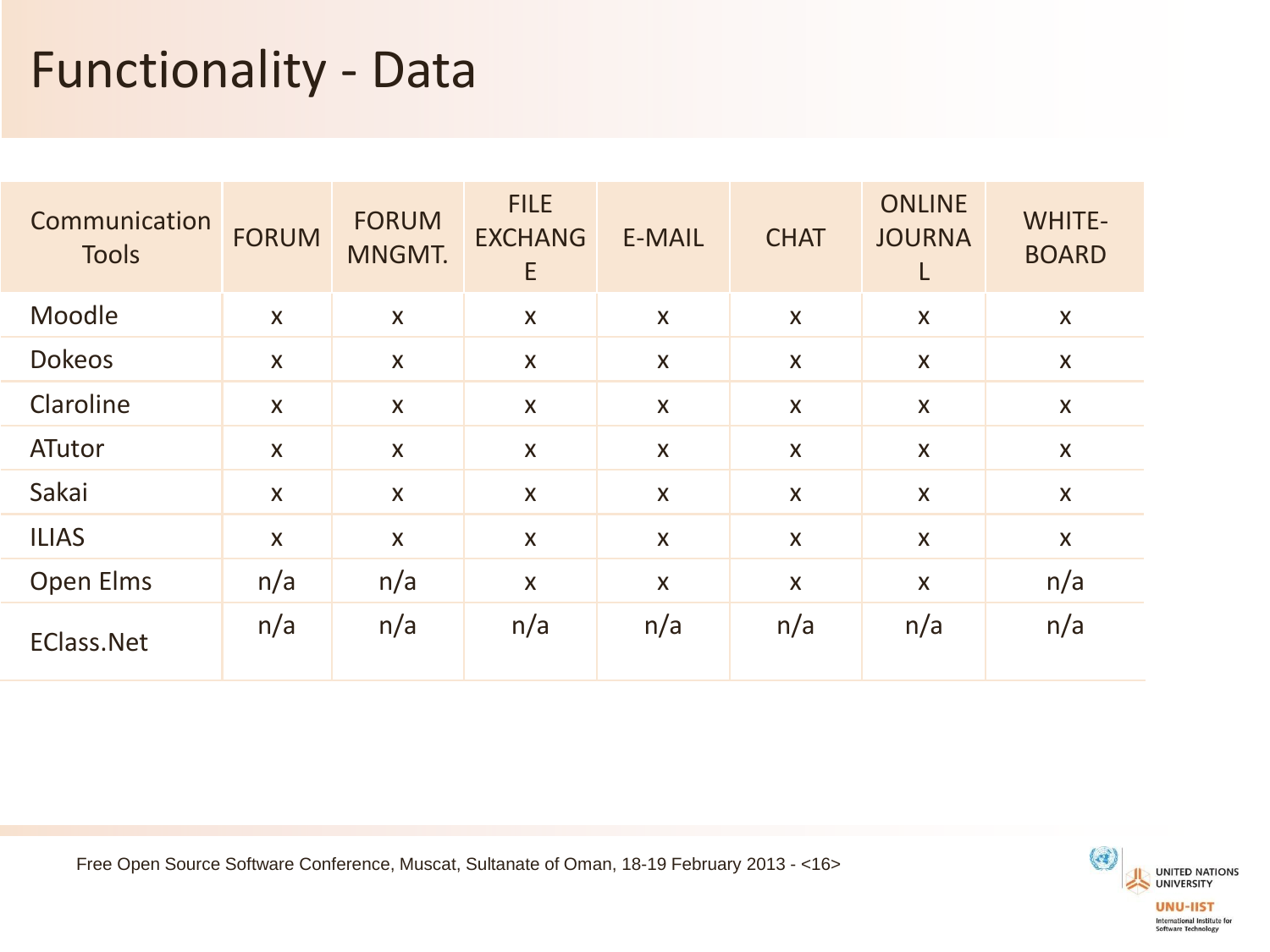## Functionality - Data

| Communication<br><b>Tools</b> | <b>FORUM</b>              | <b>FORUM</b><br>MNGMT.    | <b>FILE</b><br><b>EXCHANG</b><br>E | <b>E-MAIL</b>             | <b>CHAT</b>        | <b>ONLINE</b><br><b>JOURNA</b><br>L | <b>WHITE-</b><br><b>BOARD</b> |
|-------------------------------|---------------------------|---------------------------|------------------------------------|---------------------------|--------------------|-------------------------------------|-------------------------------|
| Moodle                        | $\boldsymbol{\mathsf{X}}$ | $\boldsymbol{X}$          | $\mathsf{X}$                       | $\boldsymbol{\mathsf{X}}$ | $\boldsymbol{X}$   | X                                   | $\mathsf{X}$                  |
| <b>Dokeos</b>                 | X                         | $\boldsymbol{X}$          | X                                  | X                         | X                  | X                                   | X                             |
| Claroline                     | $\boldsymbol{\mathsf{X}}$ | $\boldsymbol{\mathsf{X}}$ | $\mathsf{X}$                       | $\boldsymbol{\mathsf{X}}$ | $\boldsymbol{X}$   | $\mathsf{X}$                        | X                             |
| ATutor                        | X                         | X                         | X                                  | X                         | X                  | X                                   | X                             |
| Sakai                         | X                         | $\boldsymbol{\mathsf{X}}$ | $\mathsf{X}$                       | X                         | $\mathsf{X}$       | $\mathsf{X}$                        | X                             |
| <b>ILIAS</b>                  | $\boldsymbol{\mathsf{X}}$ | $\boldsymbol{\mathsf{X}}$ | $\boldsymbol{\mathsf{X}}$          | X                         | $\pmb{\mathsf{X}}$ | X                                   | X                             |
| Open Elms                     | n/a                       | n/a                       | X                                  | $\boldsymbol{\mathsf{X}}$ | $\mathsf{X}$       | X                                   | n/a                           |
| <b>EClass.Net</b>             | n/a                       | n/a                       | n/a                                | n/a                       | n/a                | n/a                                 | n/a                           |

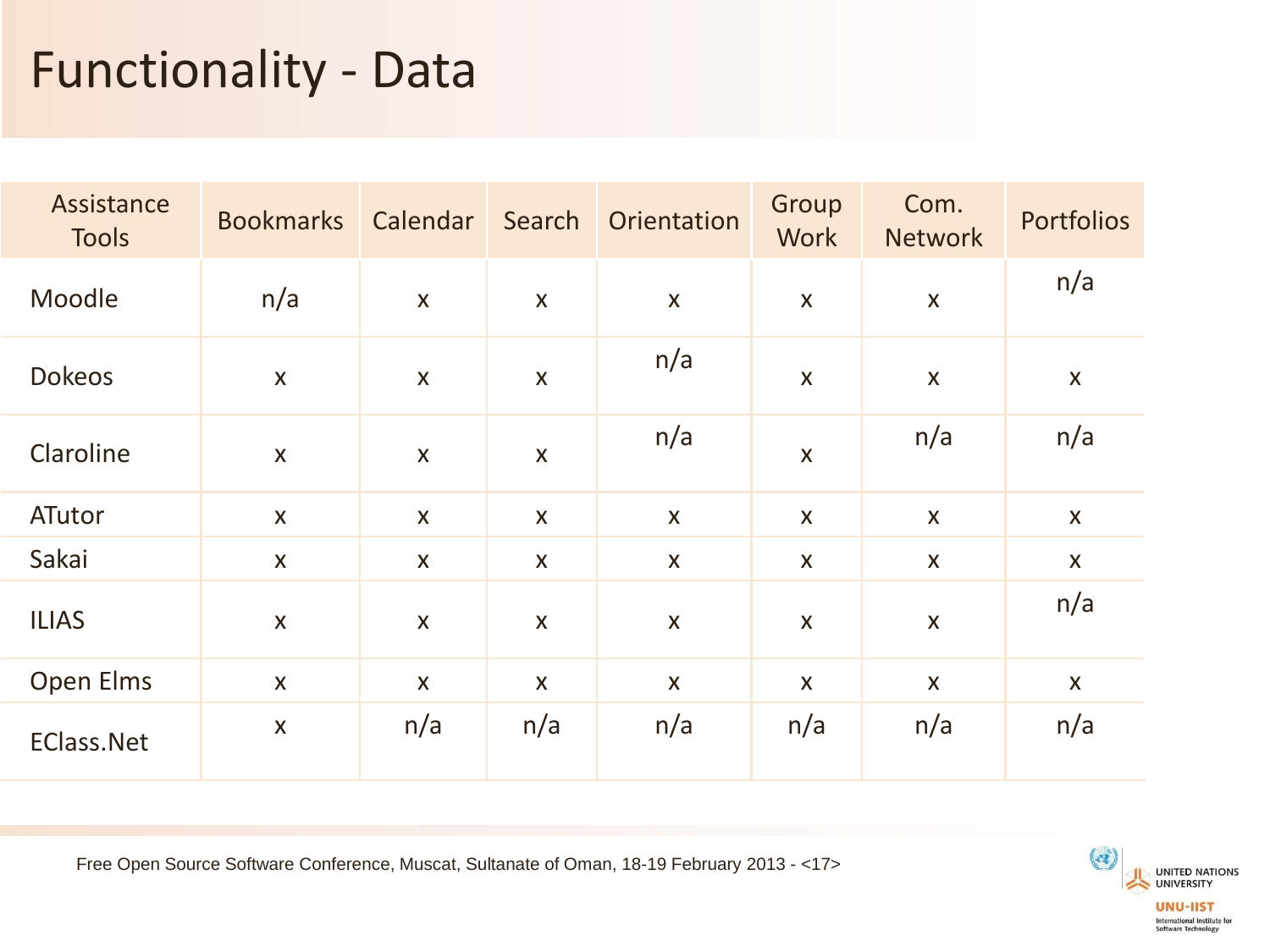## Functionality - Data

| Assistance<br><b>Tools</b> | <b>Bookmarks</b>          | Calendar     | Search                    | Orientation      | Group<br><b>Work</b>      | Com.<br><b>Network</b>    | Portfolios         |
|----------------------------|---------------------------|--------------|---------------------------|------------------|---------------------------|---------------------------|--------------------|
| Moodle                     | n/a                       | $\mathsf{X}$ | $\mathsf{X}$              | $\boldsymbol{X}$ | $\pmb{\mathsf{X}}$        | $\boldsymbol{\mathsf{X}}$ | n/a                |
| <b>Dokeos</b>              | $\pmb{\times}$            | $\mathsf{X}$ | $\boldsymbol{\mathsf{X}}$ | n/a              | $\boldsymbol{\mathsf{X}}$ | $\boldsymbol{\mathsf{X}}$ | $\pmb{\mathsf{X}}$ |
| Claroline                  | $\boldsymbol{\mathsf{X}}$ | $\mathsf{X}$ | $\boldsymbol{\mathsf{X}}$ | n/a              | $\pmb{\times}$            | n/a                       | n/a                |
| ATutor                     | $\mathsf{X}$              | $\mathsf{X}$ | $\mathsf{X}$              | $\mathsf{X}$     | $\mathsf{X}$              | $\mathsf{X}$              | $\mathsf{X}$       |
| Sakai                      | $\mathsf{X}$              | X            | X                         | $\boldsymbol{X}$ | $\boldsymbol{X}$          | $\boldsymbol{X}$          | $\mathsf{X}$       |
| <b>ILIAS</b>               | $\mathsf{X}$              | $\mathsf{X}$ | $\mathsf{X}$              | $\mathsf{X}$     | $\boldsymbol{X}$          | $\boldsymbol{\mathsf{X}}$ | n/a                |
| Open Elms                  | $\mathsf{X}$              | $\mathsf{X}$ | X                         | $\mathsf{X}$     | $\mathsf{X}$              | $\mathsf{X}$              | $\mathsf{X}$       |
| <b>EClass.Net</b>          | $\boldsymbol{\mathsf{X}}$ | n/a          | n/a                       | n/a              | n/a                       | n/a                       | n/a                |

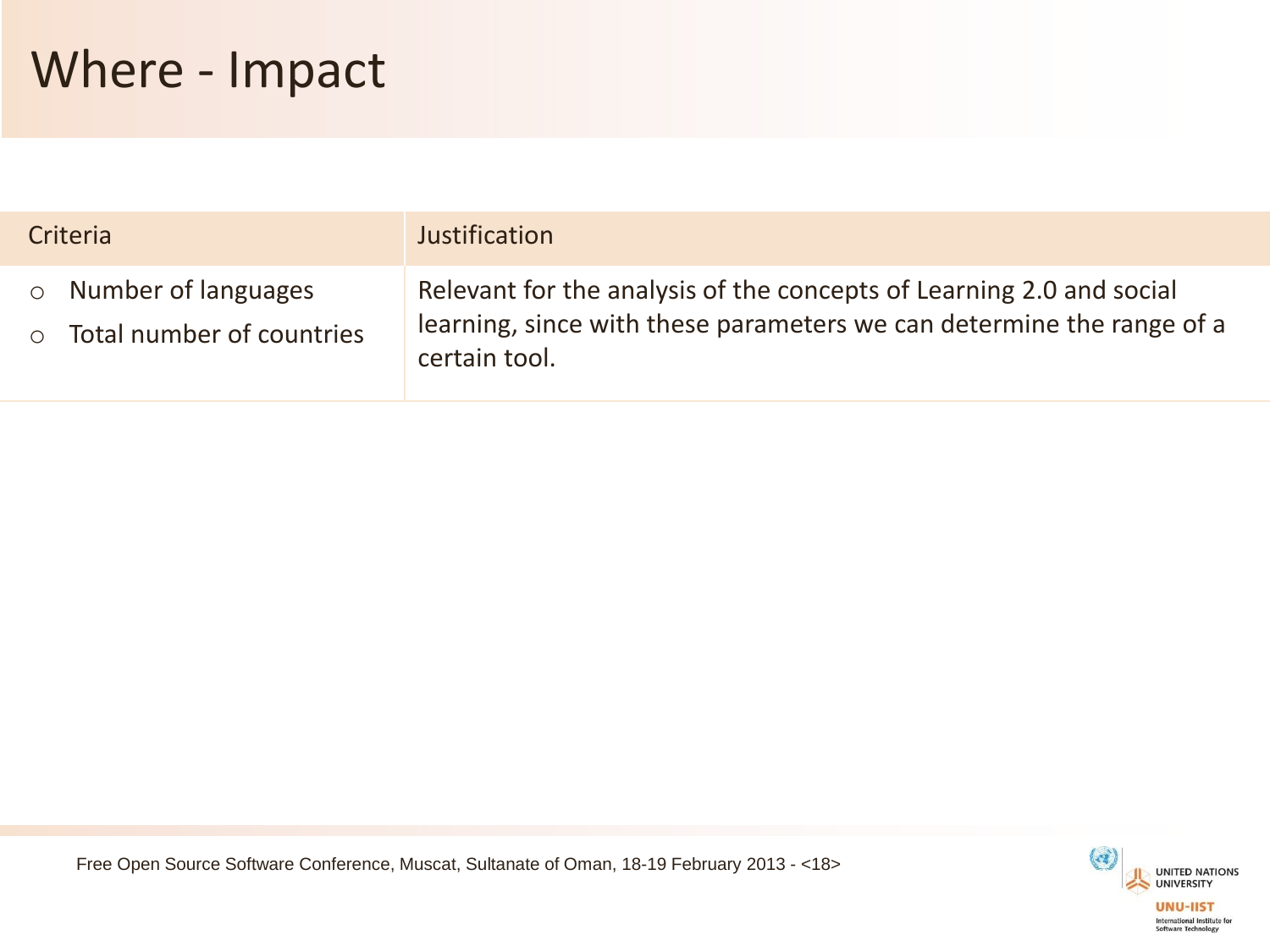| Criteria                                                   | Justification                                                                                                                                                  |
|------------------------------------------------------------|----------------------------------------------------------------------------------------------------------------------------------------------------------------|
| $\circ$ Number of languages<br>o Total number of countries | Relevant for the analysis of the concepts of Learning 2.0 and social<br>learning, since with these parameters we can determine the range of a<br>certain tool. |

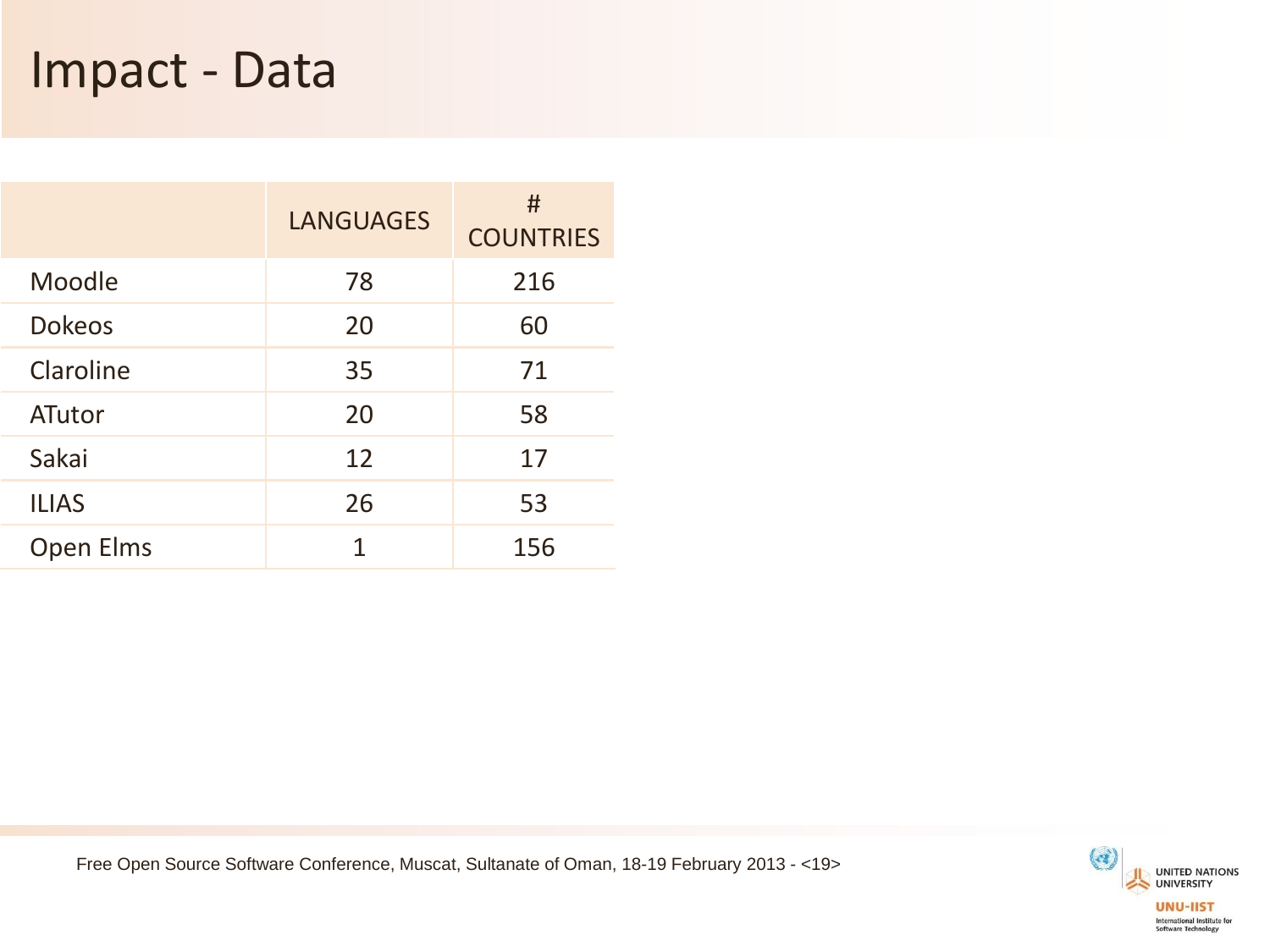#### Impact - Data

|               | <b>LANGUAGES</b> | #<br><b>COUNTRIES</b> |
|---------------|------------------|-----------------------|
| Moodle        | 78               | 216                   |
| <b>Dokeos</b> | 20               | 60                    |
| Claroline     | 35               | 71                    |
| ATutor        | 20               | 58                    |
| Sakai         | 12               | 17                    |
| <b>ILIAS</b>  | 26               | 53                    |
| Open Elms     | 1                | 156                   |

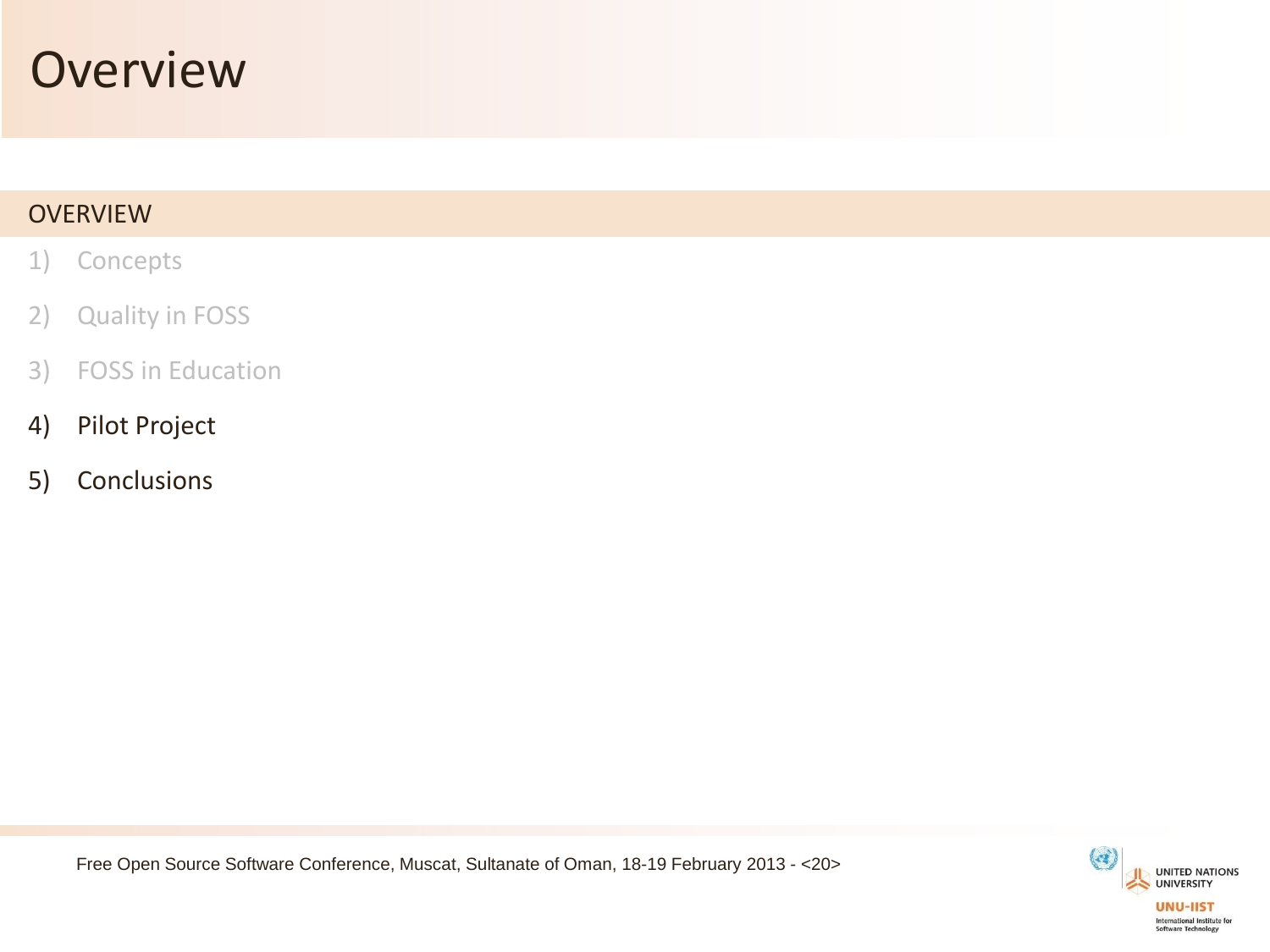#### **Overview**

#### **OVERVIEW**

- 1) Concepts
- 2) Quality in FOSS
- 3) FOSS in Education
- 4) Pilot Project
- 5) Conclusions



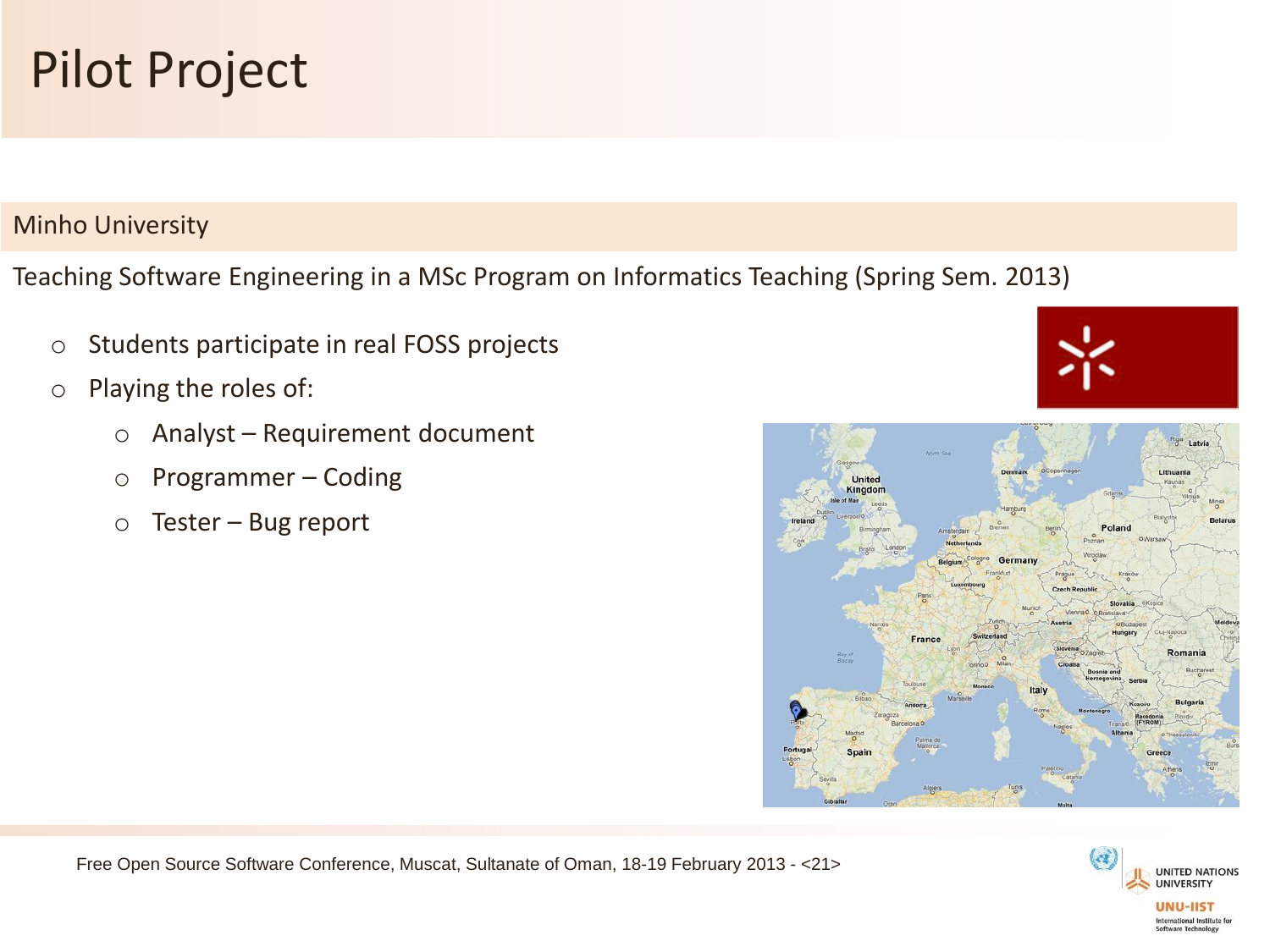

#### Minho University

Teaching Software Engineering in a MSc Program on Informatics Teaching (Spring Sem. 2013)

- o Students participate in real FOSS projects
- o Playing the roles of:
	- o Analyst Requirement document
	- o Programmer Coding
	- o Tester Bug report



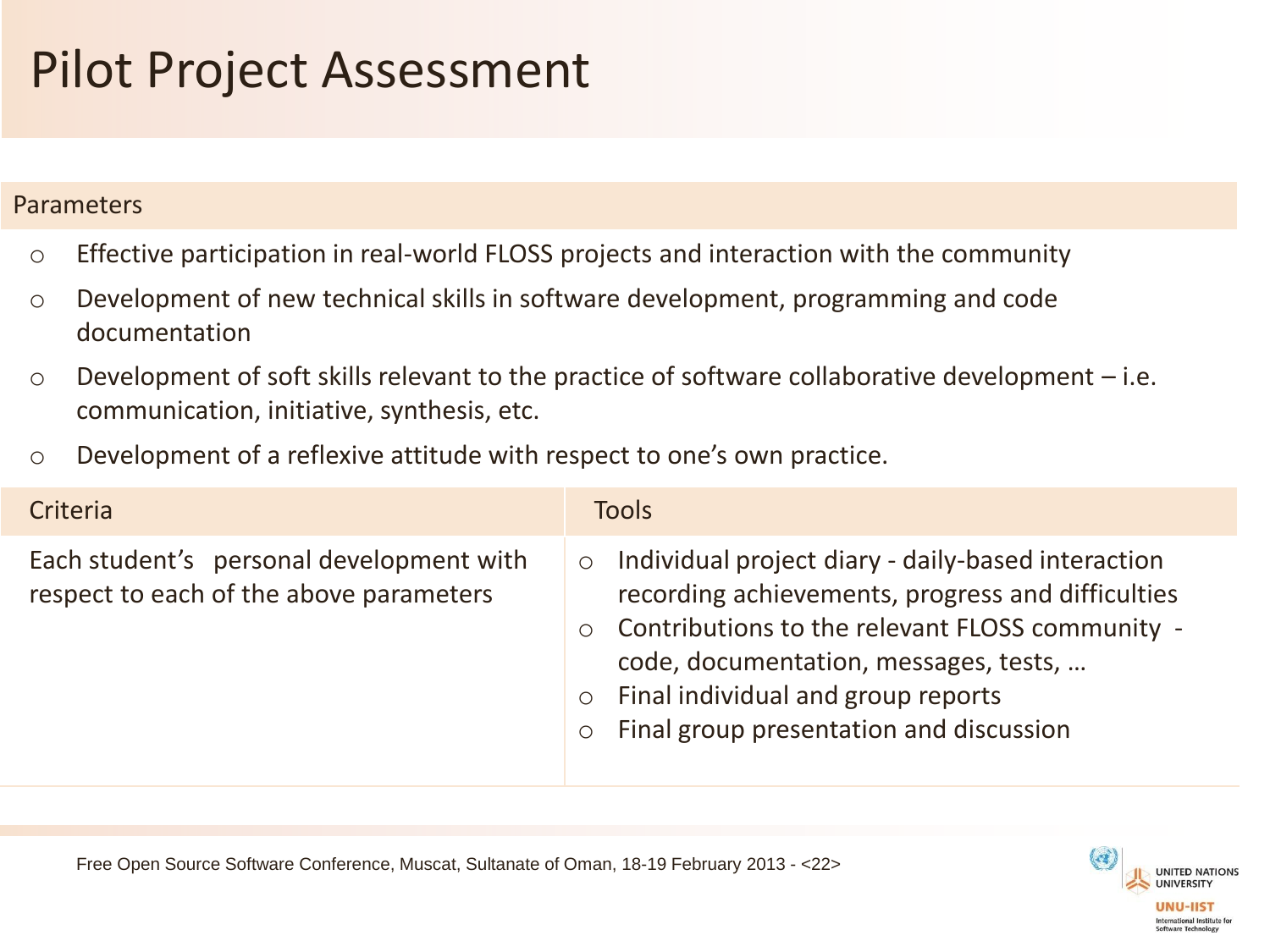# Pilot Project Assessment

#### Parameters

- o Effective participation in real-world FLOSS projects and interaction with the community
- o Development of new technical skills in software development, programming and code documentation
- $\circ$  Development of soft skills relevant to the practice of software collaborative development  $-i.e.$ communication, initiative, synthesis, etc.
- o Development of a reflexive attitude with respect to one's own practice.

| Criteria                                                                            | <b>Tools</b>                                                                                                                                                                                                                                                                                                                     |
|-------------------------------------------------------------------------------------|----------------------------------------------------------------------------------------------------------------------------------------------------------------------------------------------------------------------------------------------------------------------------------------------------------------------------------|
| Each student's personal development with<br>respect to each of the above parameters | Individual project diary - daily-based interaction<br>$\circ$<br>recording achievements, progress and difficulties<br>Contributions to the relevant FLOSS community -<br>$\circ$<br>code, documentation, messages, tests,<br>Final individual and group reports<br>$\circ$<br>Final group presentation and discussion<br>$\circ$ |

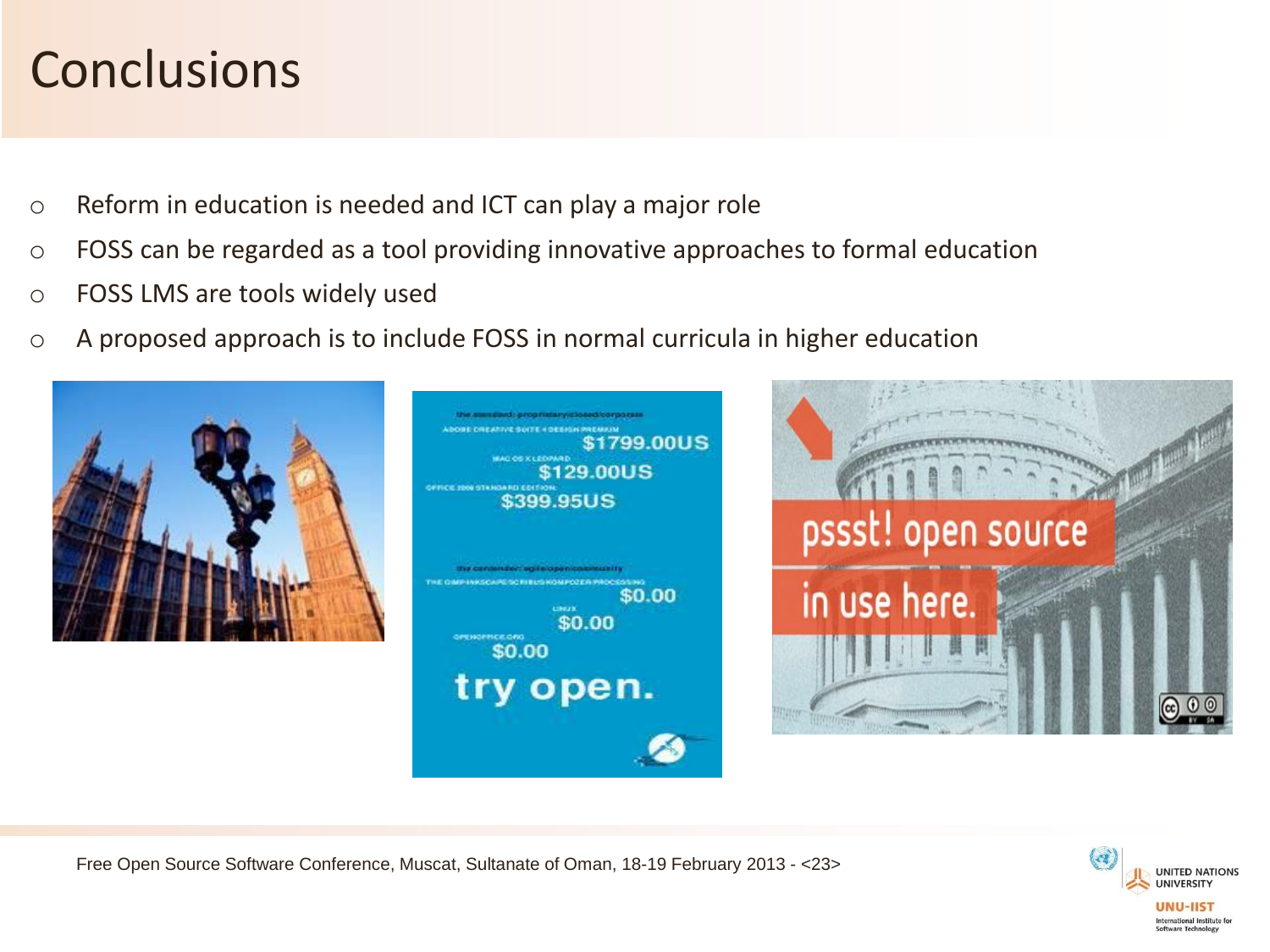## **Conclusions**

- o Reform in education is needed and ICT can play a major role
- o FOSS can be regarded as a tool providing innovative approaches to formal education
- o FOSS LMS are tools widely used
- o A proposed approach is to include FOSS in normal curricula in higher education





Free Open Source Software Conference, Muscat, Sultanate of Oman, 18-19 February 2013 - <23>